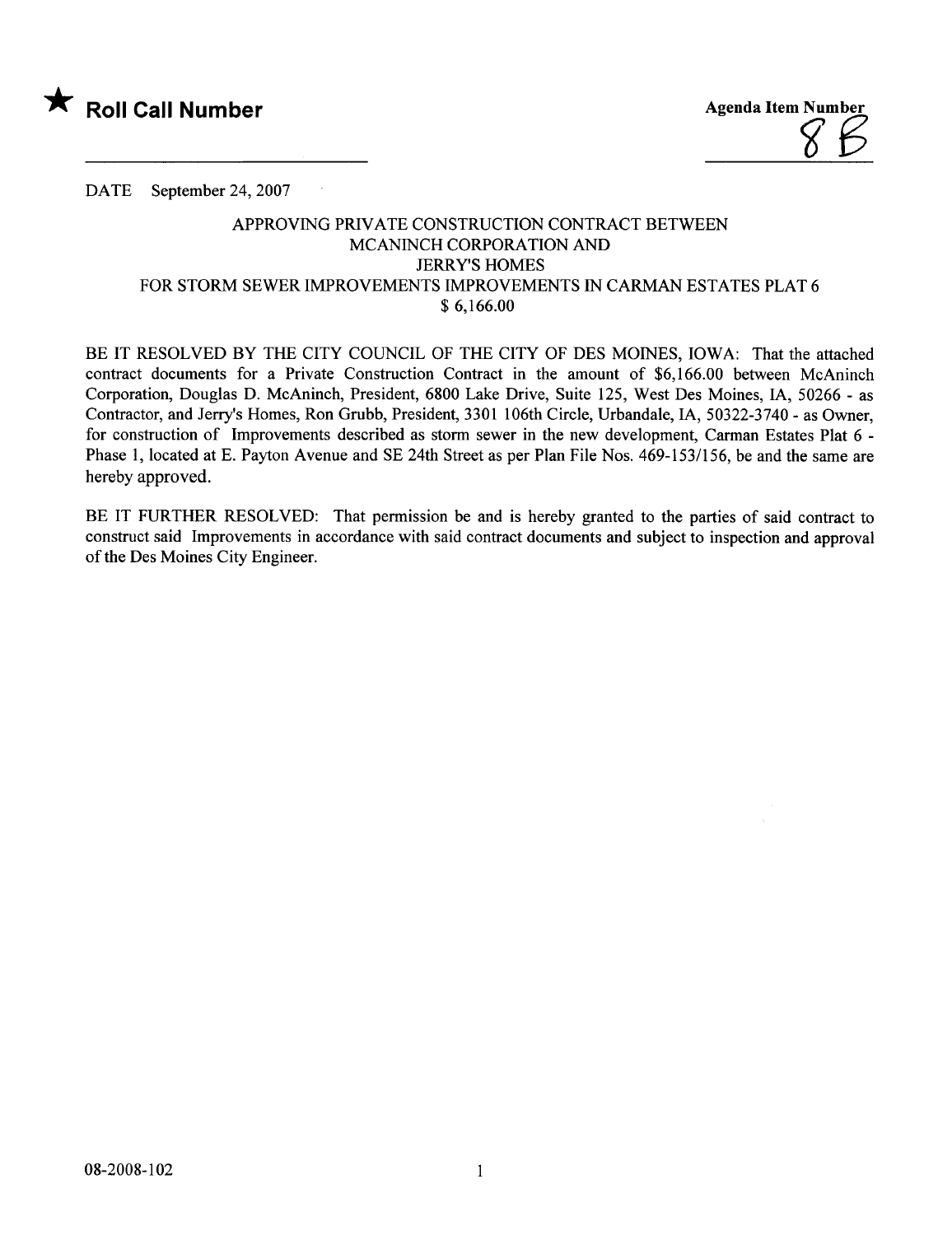

DATE September 24, 2007

 $\sim$   $\sim$ 

## APPROVING PRIVATE CONSTRUCTION CONTRACT BETWEEN MCANINCH CORPORATION AND JERRY'S HOMES FOR STORM SEWER IMPROVEMENTS IMPROVEMENTS IN CARMAN ESTATES PLAT 6 \$ 6,166.00

BE IT RESOLVED BY THE CITY COUNCIL OF THE CITY OF DES MOINES, IOWA: That the attached contract documents for a Private Construction Contract in the amount of \$6,166.00 between McAninch Corporation, Douglas D. McAninch, President, 6800 Lake Drive, Suite 125, West Des Moines, lA, 50266 - as Contractor, and Jerry's Homes, Ron Grubb, President, 3301 106th Circle, Urbandale, IA, 50322-3740 - as Owner, for construction of Improvements described as storm sewer in the new development, Carman Estates Plat 6 - Phase 1, located at E. Payton Avenue and SE 24th Street as per Plan File Nos. 469-153/156, be and the same are hereby approved.

BE IT FURTHER RESOLVED: That permission be and is hereby granted to the parties of said contract to construct said Improvements in accordance with said contract documents and subject to inspection and approval of the Des Moines City Engineer.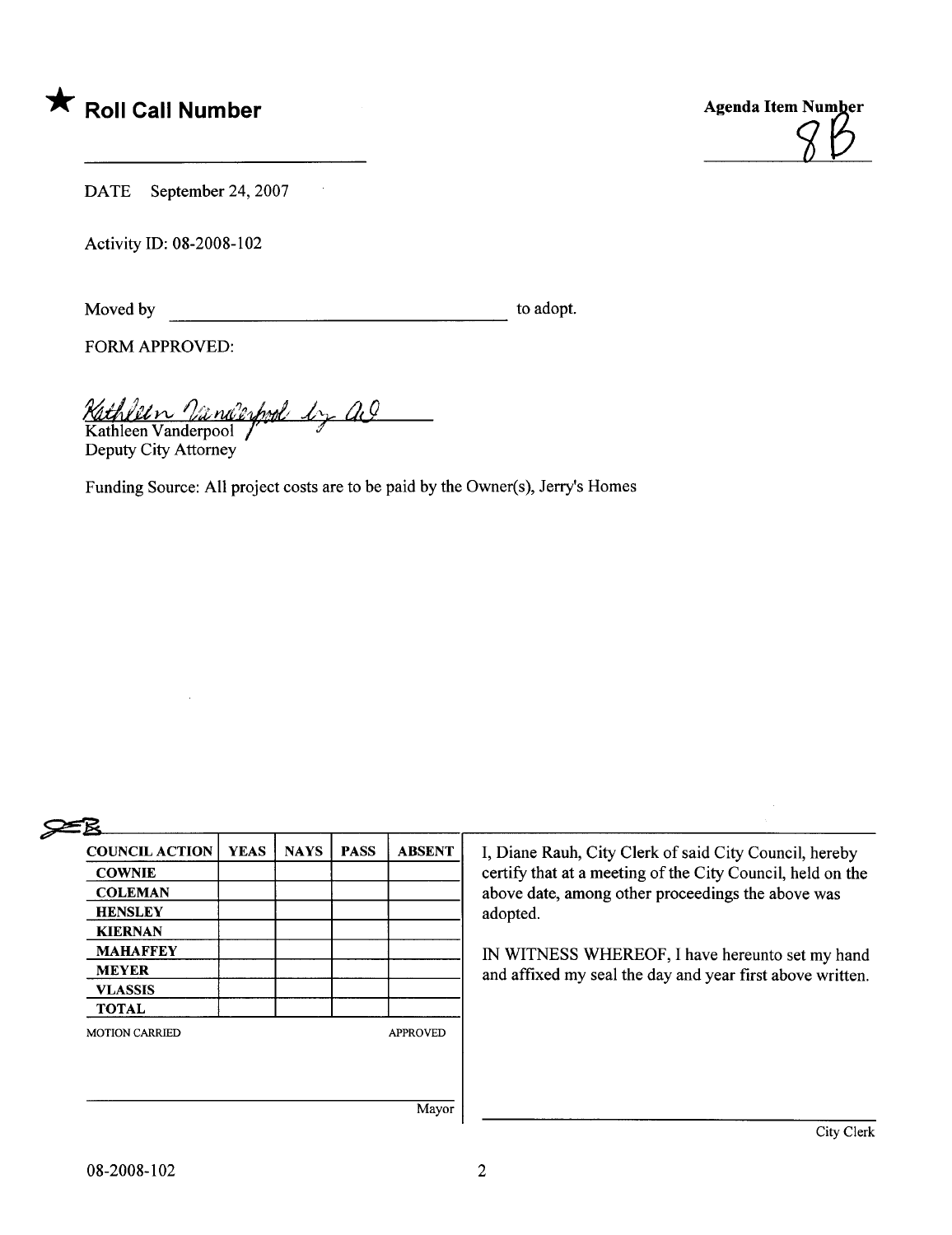



DATE September 24, 2007

Activity ID: 08-2008-102

Moved by to adopt.

FORM APPROVED:

Kathleen Vanderpool by a

Kathleen Vanderpool  $\int$   $\frac{1}{2}$ Deputy City Attorney

Funding Source: All project costs are to be paid by the Owner(s), Jerry's Homes



| <b>COUNCIL ACTION</b> | <b>YEAS</b> | <b>NAYS</b> | <b>PASS</b> | <b>ABSENT</b>   |
|-----------------------|-------------|-------------|-------------|-----------------|
| <b>COWNIE</b>         |             |             |             |                 |
| <b>COLEMAN</b>        |             |             |             |                 |
| <b>HENSLEY</b>        |             |             |             |                 |
| <b>KIERNAN</b>        |             |             |             |                 |
| <b>MAHAFFEY</b>       |             |             |             |                 |
| <b>MEYER</b>          |             |             |             |                 |
| <b>VLASSIS</b>        |             |             |             |                 |
| <b>TOTAL</b>          |             |             |             |                 |
| <b>MOTION CARRIED</b> |             |             |             | <b>APPROVED</b> |
|                       |             |             |             |                 |
|                       |             |             |             |                 |
|                       |             |             |             | Mavor           |

I, Diane Rauh, City Clerk of said City Council, hereby certify that at a meeting of the City Council, held on the above date, among other proceedings the above was adopted.

IN WITNESS WHEREOF, I have hereunto set my hand and affixed my seal the day and year first above written.

Mayor